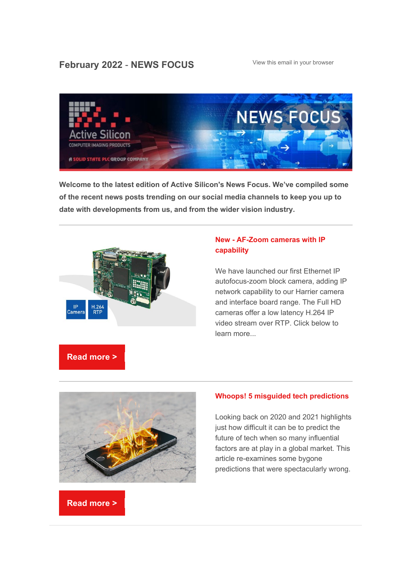# [View this email in your browser](https://mailchi.mp/activesilicon/top-6-news-stories-from-active-silicon-rtwrlb6qzp?e=f751110180) **February 2022** - **NEWS FOCUS**



**Welcome to the latest edition of Active Silicon's News Focus. We've compiled some of the recent news posts trending on our social media channels to keep you up to date with developments from us, and from the wider vision industry.**



### **New - [AF-Zoom cameras with IP](https://www.activesilicon.com/news-media/news/new-ip-ethernet-autofocus-zoom-camera/)  [capability](https://www.activesilicon.com/news-media/news/new-ip-ethernet-autofocus-zoom-camera/)**

We have launched our first Ethernet IP autofocus-zoom block camera, adding IP network capability to our Harrier camera and interface board range. The Full HD cameras offer a low latency H.264 IP video stream over RTP. Click below to learn more...





### **[Whoops! 5 misguided tech predictions](https://www.activesilicon.com/news-media/news/5-misguided-tech-predictions/)**

Looking back on 2020 and 2021 highlights just how difficult it can be to predict the future of tech when so many influential factors are at play in a global market. This article re-examines some bygone predictions that were spectacularly wrong.

## **[Read more >](https://www.activesilicon.com/news-media/news/5-misguided-tech-predictions/)**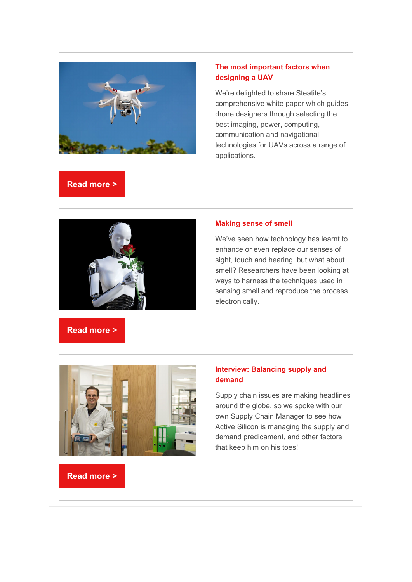

### **[The most important factors when](https://www.steatite.co.uk/2021/12/22/uav-whitepaper/)  [designing a UAV](https://www.steatite.co.uk/2021/12/22/uav-whitepaper/)**

We're delighted to share Steatite's comprehensive white paper which guides drone designers through selecting the best imaging, power, computing, communication and navigational technologies for UAVs across a range of applications.

## **[Read more >](https://www.steatite.co.uk/2021/12/22/uav-whitepaper/)**



#### **[Making sense of smell](https://www.activesilicon.com/news-media/news/making-sense-of-smell/)**

We've seen how technology has learnt to enhance or even replace our senses of sight, touch and hearing, but what about smell? Researchers have been looking at ways to harness the techniques used in sensing smell and reproduce the process electronically.

# **[Read more >](https://www.activesilicon.com/news-media/news/making-sense-of-smell/)**



### **[Interview: Balancing supply and](https://www.activesilicon.com/news-media/news/balancing-supply-and-demand/)  [demand](https://www.activesilicon.com/news-media/news/balancing-supply-and-demand/)**

Supply chain issues are making headlines around the globe, so we spoke with our own Supply Chain Manager to see how Active Silicon is managing the supply and demand predicament, and other factors that keep him on his toes!

### **[Read more >](https://www.activesilicon.com/news-media/news/balancing-supply-and-demand/)**